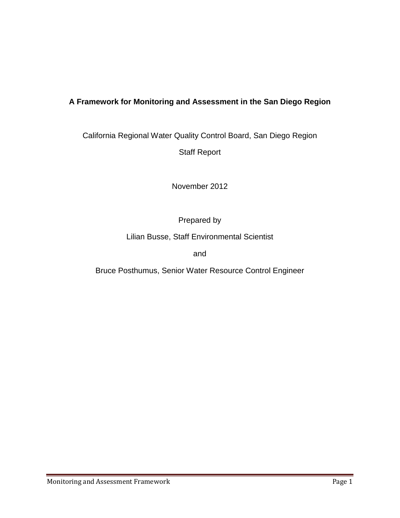# **A Framework for Monitoring and Assessment in the San Diego Region**

California Regional Water Quality Control Board, San Diego Region Staff Report

November 2012

Prepared by

Lilian Busse, Staff Environmental Scientist

and

Bruce Posthumus, Senior Water Resource Control Engineer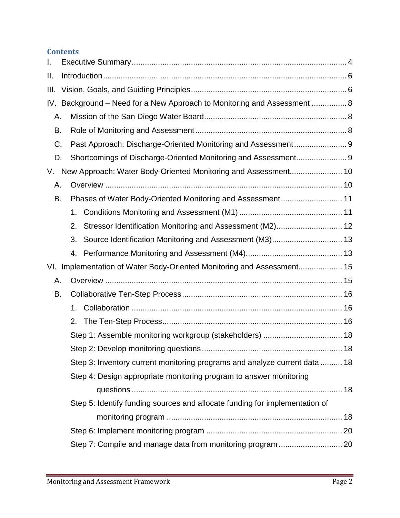# **Contents**

| I.                                                                       |    |                                                                             |  |  |  |  |
|--------------------------------------------------------------------------|----|-----------------------------------------------------------------------------|--|--|--|--|
| Ш.                                                                       |    |                                                                             |  |  |  |  |
| III.                                                                     |    |                                                                             |  |  |  |  |
| IV. Background - Need for a New Approach to Monitoring and Assessment  8 |    |                                                                             |  |  |  |  |
| А.                                                                       |    |                                                                             |  |  |  |  |
| В.                                                                       |    |                                                                             |  |  |  |  |
| C.                                                                       |    | Past Approach: Discharge-Oriented Monitoring and Assessment 9               |  |  |  |  |
| D.                                                                       |    |                                                                             |  |  |  |  |
| New Approach: Water Body-Oriented Monitoring and Assessment 10<br>V.     |    |                                                                             |  |  |  |  |
| А.                                                                       |    |                                                                             |  |  |  |  |
| В.                                                                       |    | Phases of Water Body-Oriented Monitoring and Assessment 11                  |  |  |  |  |
|                                                                          | 1. |                                                                             |  |  |  |  |
|                                                                          | 2. | Stressor Identification Monitoring and Assessment (M2) 12                   |  |  |  |  |
|                                                                          | 3. | Source Identification Monitoring and Assessment (M3) 13                     |  |  |  |  |
|                                                                          | 4. |                                                                             |  |  |  |  |
| VI. Implementation of Water Body-Oriented Monitoring and Assessment 15   |    |                                                                             |  |  |  |  |
| А.                                                                       |    |                                                                             |  |  |  |  |
| В.                                                                       |    |                                                                             |  |  |  |  |
|                                                                          | 1. |                                                                             |  |  |  |  |
|                                                                          | 2. |                                                                             |  |  |  |  |
|                                                                          |    | Step 1: Assemble monitoring workgroup (stakeholders)  18                    |  |  |  |  |
|                                                                          |    |                                                                             |  |  |  |  |
|                                                                          |    | Step 3: Inventory current monitoring programs and analyze current data  18  |  |  |  |  |
|                                                                          |    | Step 4: Design appropriate monitoring program to answer monitoring          |  |  |  |  |
|                                                                          |    |                                                                             |  |  |  |  |
|                                                                          |    | Step 5: Identify funding sources and allocate funding for implementation of |  |  |  |  |
|                                                                          |    |                                                                             |  |  |  |  |
|                                                                          |    |                                                                             |  |  |  |  |
|                                                                          |    |                                                                             |  |  |  |  |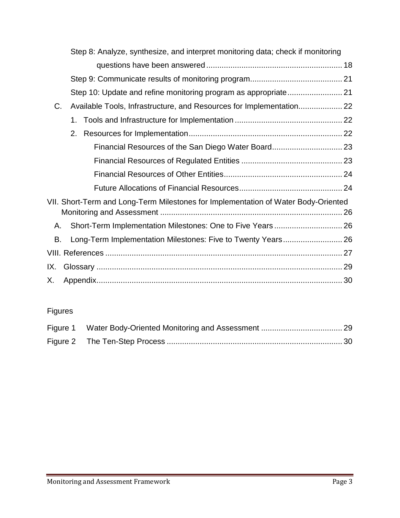|     |    | Step 8: Analyze, synthesize, and interpret monitoring data; check if monitoring    |  |
|-----|----|------------------------------------------------------------------------------------|--|
|     |    |                                                                                    |  |
|     |    |                                                                                    |  |
|     |    |                                                                                    |  |
| C.  |    | Available Tools, Infrastructure, and Resources for Implementation                  |  |
|     | 1. |                                                                                    |  |
|     | 2. |                                                                                    |  |
|     |    |                                                                                    |  |
|     |    |                                                                                    |  |
|     |    |                                                                                    |  |
|     |    |                                                                                    |  |
|     |    | VII. Short-Term and Long-Term Milestones for Implementation of Water Body-Oriented |  |
|     |    |                                                                                    |  |
| Α.  |    |                                                                                    |  |
| В.  |    |                                                                                    |  |
|     |    |                                                                                    |  |
| IX. |    |                                                                                    |  |
| Х.  |    |                                                                                    |  |

# Figures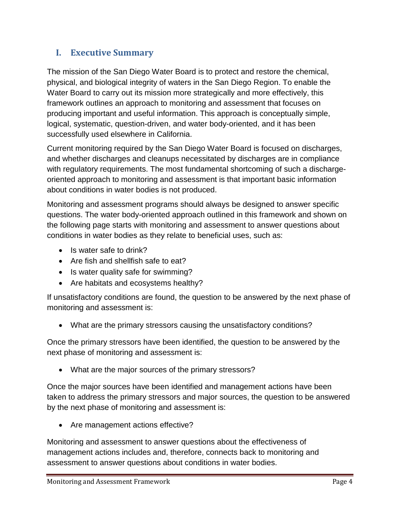# <span id="page-3-0"></span>**I. Executive Summary**

The mission of the San Diego Water Board is to protect and restore the chemical, physical, and biological integrity of waters in the San Diego Region. To enable the Water Board to carry out its mission more strategically and more effectively, this framework outlines an approach to monitoring and assessment that focuses on producing important and useful information. This approach is conceptually simple, logical, systematic, question-driven, and water body-oriented, and it has been successfully used elsewhere in California.

Current monitoring required by the San Diego Water Board is focused on discharges, and whether discharges and cleanups necessitated by discharges are in compliance with regulatory requirements. The most fundamental shortcoming of such a dischargeoriented approach to monitoring and assessment is that important basic information about conditions in water bodies is not produced.

Monitoring and assessment programs should always be designed to answer specific questions. The water body-oriented approach outlined in this framework and shown on the following page starts with monitoring and assessment to answer questions about conditions in water bodies as they relate to beneficial uses, such as:

- Is water safe to drink?
- Are fish and shellfish safe to eat?
- Is water quality safe for swimming?
- Are habitats and ecosystems healthy?

If unsatisfactory conditions are found, the question to be answered by the next phase of monitoring and assessment is:

• What are the primary stressors causing the unsatisfactory conditions?

Once the primary stressors have been identified, the question to be answered by the next phase of monitoring and assessment is:

• What are the major sources of the primary stressors?

Once the major sources have been identified and management actions have been taken to address the primary stressors and major sources, the question to be answered by the next phase of monitoring and assessment is:

• Are management actions effective?

Monitoring and assessment to answer questions about the effectiveness of management actions includes and, therefore, connects back to monitoring and assessment to answer questions about conditions in water bodies.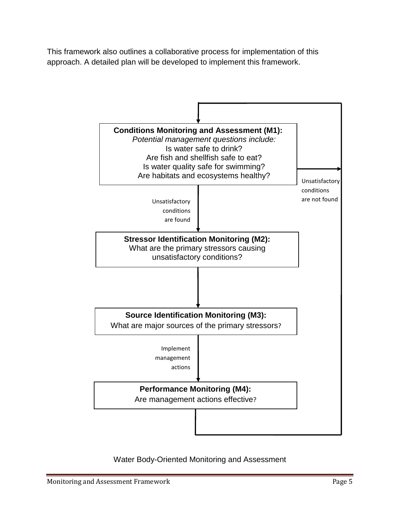This framework also outlines a collaborative process for implementation of this approach. A detailed plan will be developed to implement this framework.



### Water Body-Oriented Monitoring and Assessment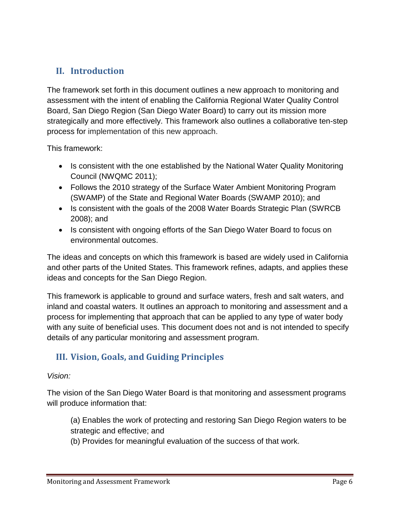# <span id="page-5-0"></span>**II. Introduction**

The framework set forth in this document outlines a new approach to monitoring and assessment with the intent of enabling the California Regional Water Quality Control Board, San Diego Region (San Diego Water Board) to carry out its mission more strategically and more effectively. This framework also outlines a collaborative ten-step process for implementation of this new approach.

This framework:

- Is consistent with the one established by the National Water Quality Monitoring Council (NWQMC 2011);
- Follows the 2010 strategy of the Surface Water Ambient Monitoring Program (SWAMP) of the State and Regional Water Boards (SWAMP 2010); and
- Is consistent with the goals of the 2008 Water Boards Strategic Plan (SWRCB 2008); and
- Is consistent with ongoing efforts of the San Diego Water Board to focus on environmental outcomes.

The ideas and concepts on which this framework is based are widely used in California and other parts of the United States. This framework refines, adapts, and applies these ideas and concepts for the San Diego Region.

This framework is applicable to ground and surface waters, fresh and salt waters, and inland and coastal waters. It outlines an approach to monitoring and assessment and a process for implementing that approach that can be applied to any type of water body with any suite of beneficial uses. This document does not and is not intended to specify details of any particular monitoring and assessment program.

# <span id="page-5-1"></span>**III. Vision, Goals, and Guiding Principles**

### *Vision:*

The vision of the San Diego Water Board is that monitoring and assessment programs will produce information that:

- (a) Enables the work of protecting and restoring San Diego Region waters to be strategic and effective; and
- (b) Provides for meaningful evaluation of the success of that work.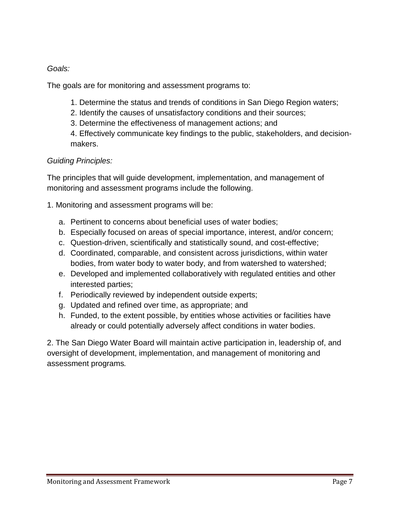*Goals:*

The goals are for monitoring and assessment programs to:

- 1. Determine the status and trends of conditions in San Diego Region waters;
- 2. Identify the causes of unsatisfactory conditions and their sources;
- 3. Determine the effectiveness of management actions; and

4. Effectively communicate key findings to the public, stakeholders, and decisionmakers.

# *Guiding Principles:*

The principles that will guide development, implementation, and management of monitoring and assessment programs include the following.

1. Monitoring and assessment programs will be:

- a. Pertinent to concerns about beneficial uses of water bodies;
- b. Especially focused on areas of special importance, interest, and/or concern;
- c. Question-driven, scientifically and statistically sound, and cost-effective;
- d. Coordinated, comparable, and consistent across jurisdictions, within water bodies, from water body to water body, and from watershed to watershed;
- e. Developed and implemented collaboratively with regulated entities and other interested parties;
- f. Periodically reviewed by independent outside experts;
- g. Updated and refined over time, as appropriate; and
- h. Funded, to the extent possible, by entities whose activities or facilities have already or could potentially adversely affect conditions in water bodies.

<span id="page-6-0"></span>2. The San Diego Water Board will maintain active participation in, leadership of, and oversight of development, implementation, and management of monitoring and assessment programs*.*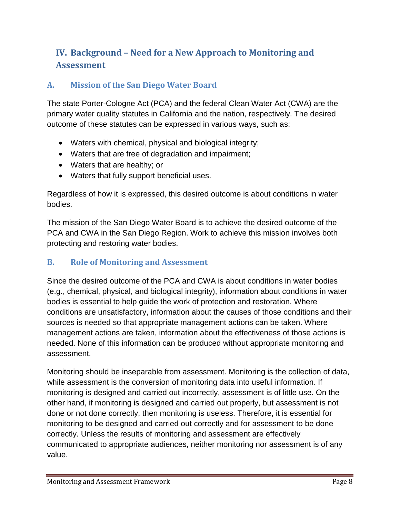# **IV. Background – Need for a New Approach to Monitoring and Assessment**

# <span id="page-7-0"></span>**A. Mission of the San Diego Water Board**

The state Porter-Cologne Act (PCA) and the federal Clean Water Act (CWA) are the primary water quality statutes in California and the nation, respectively. The desired outcome of these statutes can be expressed in various ways, such as:

- Waters with chemical, physical and biological integrity;
- Waters that are free of degradation and impairment;
- Waters that are healthy; or
- Waters that fully support beneficial uses.

Regardless of how it is expressed, this desired outcome is about conditions in water bodies.

The mission of the San Diego Water Board is to achieve the desired outcome of the PCA and CWA in the San Diego Region. Work to achieve this mission involves both protecting and restoring water bodies.

# <span id="page-7-1"></span>**B. Role of Monitoring and Assessment**

Since the desired outcome of the PCA and CWA is about conditions in water bodies (e.g., chemical, physical, and biological integrity), information about conditions in water bodies is essential to help guide the work of protection and restoration. Where conditions are unsatisfactory, information about the causes of those conditions and their sources is needed so that appropriate management actions can be taken. Where management actions are taken, information about the effectiveness of those actions is needed. None of this information can be produced without appropriate monitoring and assessment.

Monitoring should be inseparable from assessment. Monitoring is the collection of data, while assessment is the conversion of monitoring data into useful information. If monitoring is designed and carried out incorrectly, assessment is of little use. On the other hand, if monitoring is designed and carried out properly, but assessment is not done or not done correctly, then monitoring is useless. Therefore, it is essential for monitoring to be designed and carried out correctly and for assessment to be done correctly. Unless the results of monitoring and assessment are effectively communicated to appropriate audiences, neither monitoring nor assessment is of any value.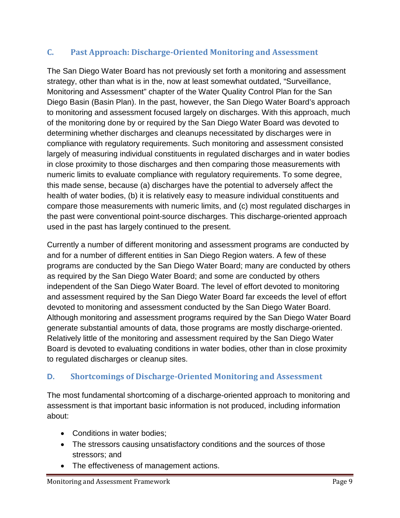# <span id="page-8-0"></span>**C. Past Approach: Discharge-Oriented Monitoring and Assessment**

The San Diego Water Board has not previously set forth a monitoring and assessment strategy, other than what is in the, now at least somewhat outdated, "Surveillance, Monitoring and Assessment" chapter of the Water Quality Control Plan for the San Diego Basin (Basin Plan). In the past, however, the San Diego Water Board's approach to monitoring and assessment focused largely on discharges. With this approach, much of the monitoring done by or required by the San Diego Water Board was devoted to determining whether discharges and cleanups necessitated by discharges were in compliance with regulatory requirements. Such monitoring and assessment consisted largely of measuring individual constituents in regulated discharges and in water bodies in close proximity to those discharges and then comparing those measurements with numeric limits to evaluate compliance with regulatory requirements. To some degree, this made sense, because (a) discharges have the potential to adversely affect the health of water bodies, (b) it is relatively easy to measure individual constituents and compare those measurements with numeric limits, and (c) most regulated discharges in the past were conventional point-source discharges. This discharge-oriented approach used in the past has largely continued to the present.

Currently a number of different monitoring and assessment programs are conducted by and for a number of different entities in San Diego Region waters. A few of these programs are conducted by the San Diego Water Board; many are conducted by others as required by the San Diego Water Board; and some are conducted by others independent of the San Diego Water Board. The level of effort devoted to monitoring and assessment required by the San Diego Water Board far exceeds the level of effort devoted to monitoring and assessment conducted by the San Diego Water Board. Although monitoring and assessment programs required by the San Diego Water Board generate substantial amounts of data, those programs are mostly discharge-oriented. Relatively little of the monitoring and assessment required by the San Diego Water Board is devoted to evaluating conditions in water bodies, other than in close proximity to regulated discharges or cleanup sites.

# <span id="page-8-1"></span>**D. Shortcomings of Discharge-Oriented Monitoring and Assessment**

The most fundamental shortcoming of a discharge-oriented approach to monitoring and assessment is that important basic information is not produced, including information about:

- Conditions in water bodies:
- The stressors causing unsatisfactory conditions and the sources of those stressors; and
- The effectiveness of management actions.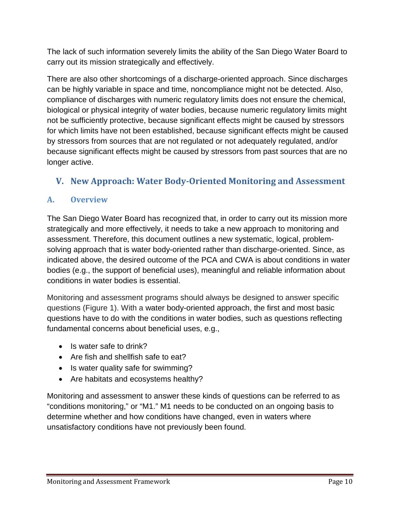The lack of such information severely limits the ability of the San Diego Water Board to carry out its mission strategically and effectively.

There are also other shortcomings of a discharge-oriented approach. Since discharges can be highly variable in space and time, noncompliance might not be detected. Also, compliance of discharges with numeric regulatory limits does not ensure the chemical, biological or physical integrity of water bodies, because numeric regulatory limits might not be sufficiently protective, because significant effects might be caused by stressors for which limits have not been established, because significant effects might be caused by stressors from sources that are not regulated or not adequately regulated, and/or because significant effects might be caused by stressors from past sources that are no longer active.

# <span id="page-9-0"></span>**V. New Approach: Water Body-Oriented Monitoring and Assessment**

# <span id="page-9-1"></span>**A. Overview**

The San Diego Water Board has recognized that, in order to carry out its mission more strategically and more effectively, it needs to take a new approach to monitoring and assessment. Therefore, this document outlines a new systematic, logical, problemsolving approach that is water body-oriented rather than discharge-oriented. Since, as indicated above, the desired outcome of the PCA and CWA is about conditions in water bodies (e.g., the support of beneficial uses), meaningful and reliable information about conditions in water bodies is essential.

Monitoring and assessment programs should always be designed to answer specific questions (Figure 1). With a water body-oriented approach, the first and most basic questions have to do with the conditions in water bodies, such as questions reflecting fundamental concerns about beneficial uses, e.g.,

- Is water safe to drink?
- Are fish and shellfish safe to eat?
- Is water quality safe for swimming?
- Are habitats and ecosystems healthy?

Monitoring and assessment to answer these kinds of questions can be referred to as "conditions monitoring," or "M1." M1 needs to be conducted on an ongoing basis to determine whether and how conditions have changed, even in waters where unsatisfactory conditions have not previously been found.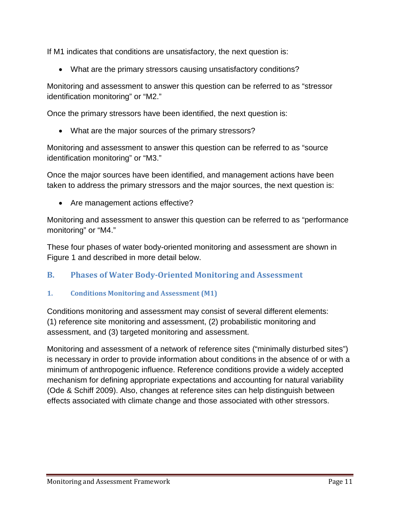If M1 indicates that conditions are unsatisfactory, the next question is:

• What are the primary stressors causing unsatisfactory conditions?

Monitoring and assessment to answer this question can be referred to as "stressor identification monitoring" or "M2."

Once the primary stressors have been identified, the next question is:

• What are the major sources of the primary stressors?

Monitoring and assessment to answer this question can be referred to as "source identification monitoring" or "M3."

Once the major sources have been identified, and management actions have been taken to address the primary stressors and the major sources, the next question is:

• Are management actions effective?

Monitoring and assessment to answer this question can be referred to as "performance monitoring" or "M4."

These four phases of water body-oriented monitoring and assessment are shown in Figure 1 and described in more detail below.

# <span id="page-10-0"></span>**B. Phases of Water Body-Oriented Monitoring and Assessment**

### <span id="page-10-1"></span>**1. Conditions Monitoring and Assessment (M1)**

Conditions monitoring and assessment may consist of several different elements: (1) reference site monitoring and assessment, (2) probabilistic monitoring and assessment, and (3) targeted monitoring and assessment.

Monitoring and assessment of a network of reference sites ("minimally disturbed sites") is necessary in order to provide information about conditions in the absence of or with a minimum of anthropogenic influence. Reference conditions provide a widely accepted mechanism for defining appropriate expectations and accounting for natural variability (Ode & Schiff 2009). Also, changes at reference sites can help distinguish between effects associated with climate change and those associated with other stressors.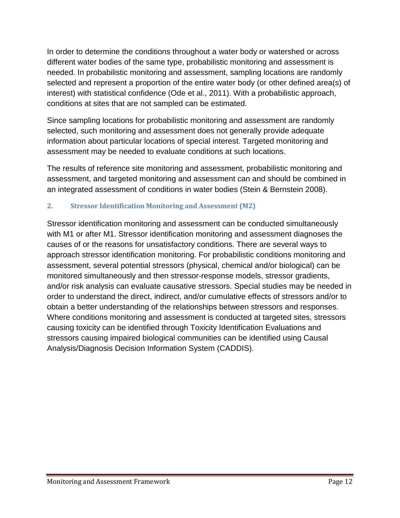In order to determine the conditions throughout a water body or watershed or across different water bodies of the same type, probabilistic monitoring and assessment is needed. In probabilistic monitoring and assessment, sampling locations are randomly selected and represent a proportion of the entire water body (or other defined area(s) of interest) with statistical confidence (Ode et al., 2011). With a probabilistic approach, conditions at sites that are not sampled can be estimated.

Since sampling locations for probabilistic monitoring and assessment are randomly selected, such monitoring and assessment does not generally provide adequate information about particular locations of special interest. Targeted monitoring and assessment may be needed to evaluate conditions at such locations.

The results of reference site monitoring and assessment, probabilistic monitoring and assessment, and targeted monitoring and assessment can and should be combined in an integrated assessment of conditions in water bodies (Stein & Bernstein 2008).

### <span id="page-11-0"></span>**2. Stressor Identification Monitoring and Assessment (M2)**

Stressor identification monitoring and assessment can be conducted simultaneously with M1 or after M1. Stressor identification monitoring and assessment diagnoses the causes of or the reasons for unsatisfactory conditions. There are several ways to approach stressor identification monitoring. For probabilistic conditions monitoring and assessment, several potential stressors (physical, chemical and/or biological) can be monitored simultaneously and then stressor-response models, stressor gradients, and/or risk analysis can evaluate causative stressors. Special studies may be needed in order to understand the direct, indirect, and/or cumulative effects of stressors and/or to obtain a better understanding of the relationships between stressors and responses. Where conditions monitoring and assessment is conducted at targeted sites, stressors causing toxicity can be identified through Toxicity Identification Evaluations and stressors causing impaired biological communities can be identified using Causal Analysis/Diagnosis Decision Information System (CADDIS).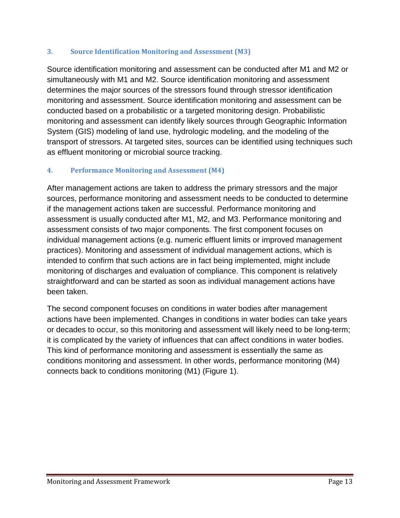#### <span id="page-12-0"></span>**3. Source Identification Monitoring and Assessment (M3)**

Source identification monitoring and assessment can be conducted after M1 and M2 or simultaneously with M1 and M2. Source identification monitoring and assessment determines the major sources of the stressors found through stressor identification monitoring and assessment. Source identification monitoring and assessment can be conducted based on a probabilistic or a targeted monitoring design. Probabilistic monitoring and assessment can identify likely sources through Geographic Information System (GIS) modeling of land use, hydrologic modeling, and the modeling of the transport of stressors. At targeted sites, sources can be identified using techniques such as effluent monitoring or microbial source tracking.

## <span id="page-12-1"></span>**4. Performance Monitoring and Assessment (M4)**

After management actions are taken to address the primary stressors and the major sources, performance monitoring and assessment needs to be conducted to determine if the management actions taken are successful. Performance monitoring and assessment is usually conducted after M1, M2, and M3. Performance monitoring and assessment consists of two major components. The first component focuses on individual management actions (e.g. numeric effluent limits or improved management practices). Monitoring and assessment of individual management actions, which is intended to confirm that such actions are in fact being implemented, might include monitoring of discharges and evaluation of compliance. This component is relatively straightforward and can be started as soon as individual management actions have been taken.

The second component focuses on conditions in water bodies after management actions have been implemented. Changes in conditions in water bodies can take years or decades to occur, so this monitoring and assessment will likely need to be long-term; it is complicated by the variety of influences that can affect conditions in water bodies. This kind of performance monitoring and assessment is essentially the same as conditions monitoring and assessment. In other words, performance monitoring (M4) connects back to conditions monitoring (M1) (Figure 1).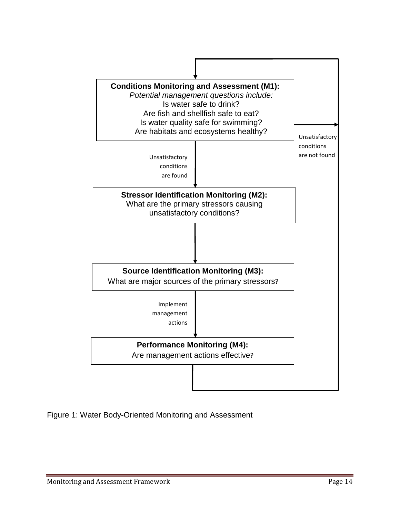

Figure 1: Water Body-Oriented Monitoring and Assessment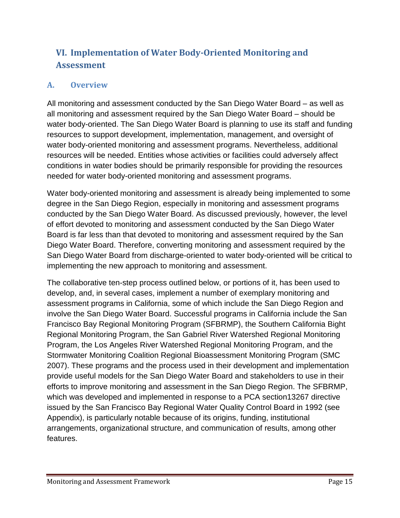# <span id="page-14-0"></span>**VI. Implementation of Water Body-Oriented Monitoring and Assessment**

# <span id="page-14-1"></span>**A. Overview**

All monitoring and assessment conducted by the San Diego Water Board – as well as all monitoring and assessment required by the San Diego Water Board – should be water body-oriented. The San Diego Water Board is planning to use its staff and funding resources to support development, implementation, management, and oversight of water body-oriented monitoring and assessment programs. Nevertheless, additional resources will be needed. Entities whose activities or facilities could adversely affect conditions in water bodies should be primarily responsible for providing the resources needed for water body-oriented monitoring and assessment programs.

Water body-oriented monitoring and assessment is already being implemented to some degree in the San Diego Region, especially in monitoring and assessment programs conducted by the San Diego Water Board. As discussed previously, however, the level of effort devoted to monitoring and assessment conducted by the San Diego Water Board is far less than that devoted to monitoring and assessment required by the San Diego Water Board. Therefore, converting monitoring and assessment required by the San Diego Water Board from discharge-oriented to water body-oriented will be critical to implementing the new approach to monitoring and assessment.

The collaborative ten-step process outlined below, or portions of it, has been used to develop, and, in several cases, implement a number of exemplary monitoring and assessment programs in California, some of which include the San Diego Region and involve the San Diego Water Board. Successful programs in California include the San Francisco Bay Regional Monitoring Program (SFBRMP), the Southern California Bight Regional Monitoring Program, the San Gabriel River Watershed Regional Monitoring Program, the Los Angeles River Watershed Regional Monitoring Program, and the Stormwater Monitoring Coalition Regional Bioassessment Monitoring Program (SMC 2007). These programs and the process used in their development and implementation provide useful models for the San Diego Water Board and stakeholders to use in their efforts to improve monitoring and assessment in the San Diego Region. The SFBRMP, which was developed and implemented in response to a PCA section13267 directive issued by the San Francisco Bay Regional Water Quality Control Board in 1992 (see Appendix), is particularly notable because of its origins, funding, institutional arrangements, organizational structure, and communication of results, among other features.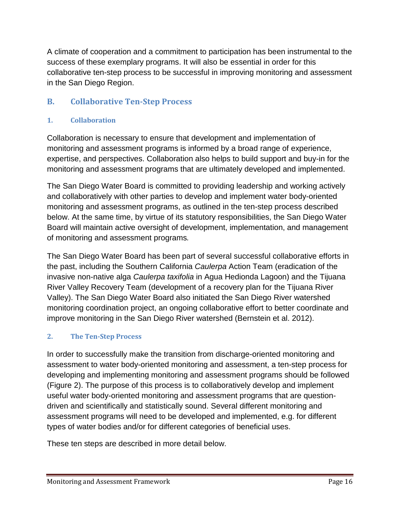A climate of cooperation and a commitment to participation has been instrumental to the success of these exemplary programs. It will also be essential in order for this collaborative ten-step process to be successful in improving monitoring and assessment in the San Diego Region.

# <span id="page-15-0"></span>**B. Collaborative Ten-Step Process**

### <span id="page-15-1"></span>**1. Collaboration**

Collaboration is necessary to ensure that development and implementation of monitoring and assessment programs is informed by a broad range of experience, expertise, and perspectives. Collaboration also helps to build support and buy-in for the monitoring and assessment programs that are ultimately developed and implemented.

The San Diego Water Board is committed to providing leadership and working actively and collaboratively with other parties to develop and implement water body-oriented monitoring and assessment programs, as outlined in the ten-step process described below. At the same time, by virtue of its statutory responsibilities, the San Diego Water Board will maintain active oversight of development, implementation, and management of monitoring and assessment programs*.*

The San Diego Water Board has been part of several successful collaborative efforts in the past, including the Southern California *Caulerpa* Action Team (eradication of the invasive non-native alga *Caulerpa taxifolia* in Agua Hedionda Lagoon) and the Tijuana River Valley Recovery Team (development of a recovery plan for the Tijuana River Valley). The San Diego Water Board also initiated the San Diego River watershed monitoring coordination project, an ongoing collaborative effort to better coordinate and improve monitoring in the San Diego River watershed (Bernstein et al. 2012).

# <span id="page-15-2"></span>**2. The Ten-Step Process**

In order to successfully make the transition from discharge-oriented monitoring and assessment to water body-oriented monitoring and assessment, a ten-step process for developing and implementing monitoring and assessment programs should be followed (Figure 2). The purpose of this process is to collaboratively develop and implement useful water body-oriented monitoring and assessment programs that are questiondriven and scientifically and statistically sound. Several different monitoring and assessment programs will need to be developed and implemented, e.g. for different types of water bodies and/or for different categories of beneficial uses.

These ten steps are described in more detail below.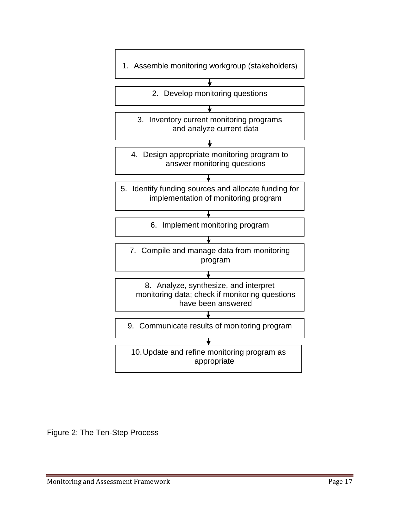

Figure 2: The Ten-Step Process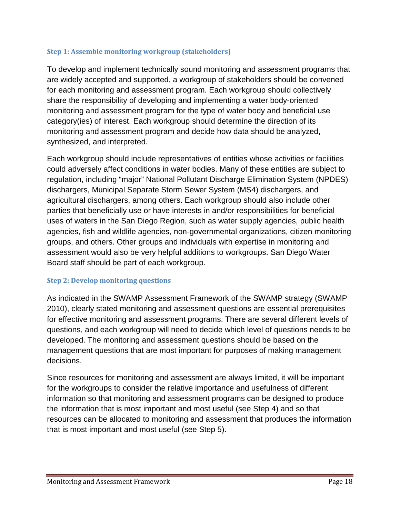#### <span id="page-17-0"></span>**Step 1: Assemble monitoring workgroup (stakeholders)**

To develop and implement technically sound monitoring and assessment programs that are widely accepted and supported, a workgroup of stakeholders should be convened for each monitoring and assessment program. Each workgroup should collectively share the responsibility of developing and implementing a water body-oriented monitoring and assessment program for the type of water body and beneficial use category(ies) of interest. Each workgroup should determine the direction of its monitoring and assessment program and decide how data should be analyzed, synthesized, and interpreted.

Each workgroup should include representatives of entities whose activities or facilities could adversely affect conditions in water bodies. Many of these entities are subject to regulation, including "major" National Pollutant Discharge Elimination System (NPDES) dischargers, Municipal Separate Storm Sewer System (MS4) dischargers, and agricultural dischargers, among others. Each workgroup should also include other parties that beneficially use or have interests in and/or responsibilities for beneficial uses of waters in the San Diego Region, such as water supply agencies, public health agencies, fish and wildlife agencies, non-governmental organizations, citizen monitoring groups, and others. Other groups and individuals with expertise in monitoring and assessment would also be very helpful additions to workgroups. San Diego Water Board staff should be part of each workgroup.

#### <span id="page-17-1"></span>**Step 2: Develop monitoring questions**

As indicated in the SWAMP Assessment Framework of the SWAMP strategy (SWAMP 2010), clearly stated monitoring and assessment questions are essential prerequisites for effective monitoring and assessment programs. There are several different levels of questions, and each workgroup will need to decide which level of questions needs to be developed. The monitoring and assessment questions should be based on the management questions that are most important for purposes of making management decisions.

Since resources for monitoring and assessment are always limited, it will be important for the workgroups to consider the relative importance and usefulness of different information so that monitoring and assessment programs can be designed to produce the information that is most important and most useful (see Step 4) and so that resources can be allocated to monitoring and assessment that produces the information that is most important and most useful (see Step 5).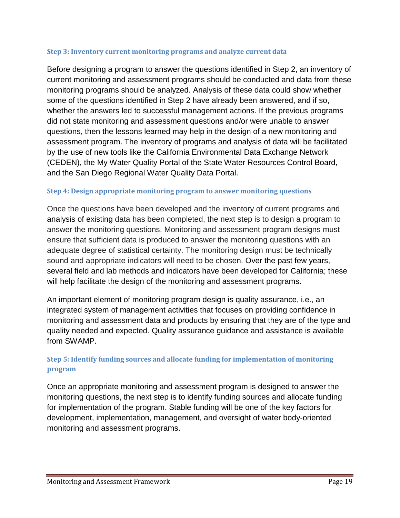#### **Step 3: Inventory current monitoring programs and analyze current data**

Before designing a program to answer the questions identified in Step 2, an inventory of current monitoring and assessment programs should be conducted and data from these monitoring programs should be analyzed. Analysis of these data could show whether some of the questions identified in Step 2 have already been answered, and if so, whether the answers led to successful management actions. If the previous programs did not state monitoring and assessment questions and/or were unable to answer questions, then the lessons learned may help in the design of a new monitoring and assessment program. The inventory of programs and analysis of data will be facilitated by the use of new tools like the California Environmental Data Exchange Network (CEDEN), the My Water Quality Portal of the State Water Resources Control Board, and the San Diego Regional Water Quality Data Portal.

#### **Step 4: Design appropriate monitoring program to answer monitoring questions**

Once the questions have been developed and the inventory of current programs and analysis of existing data has been completed, the next step is to design a program to answer the monitoring questions. Monitoring and assessment program designs must ensure that sufficient data is produced to answer the monitoring questions with an adequate degree of statistical certainty. The monitoring design must be technically sound and appropriate indicators will need to be chosen. Over the past few years, several field and lab methods and indicators have been developed for California; these will help facilitate the design of the monitoring and assessment programs.

An important element of monitoring program design is quality assurance, i.e., an integrated system of management activities that focuses on providing confidence in monitoring and assessment data and products by ensuring that they are of the type and quality needed and expected. Quality assurance guidance and assistance is available from SWAMP.

## **Step 5: Identify funding sources and allocate funding for implementation of monitoring program**

Once an appropriate monitoring and assessment program is designed to answer the monitoring questions, the next step is to identify funding sources and allocate funding for implementation of the program. Stable funding will be one of the key factors for development, implementation, management, and oversight of water body-oriented monitoring and assessment programs.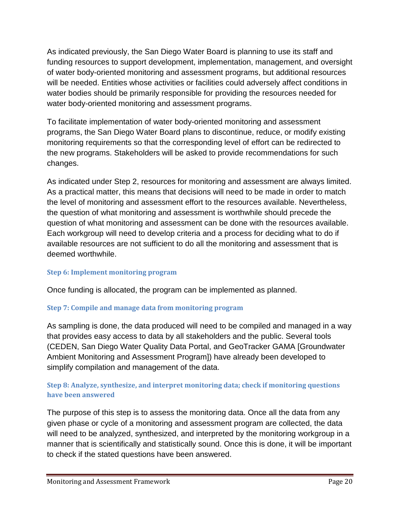As indicated previously, the San Diego Water Board is planning to use its staff and funding resources to support development, implementation, management, and oversight of water body-oriented monitoring and assessment programs, but additional resources will be needed. Entities whose activities or facilities could adversely affect conditions in water bodies should be primarily responsible for providing the resources needed for water body-oriented monitoring and assessment programs.

To facilitate implementation of water body-oriented monitoring and assessment programs, the San Diego Water Board plans to discontinue, reduce, or modify existing monitoring requirements so that the corresponding level of effort can be redirected to the new programs. Stakeholders will be asked to provide recommendations for such changes.

As indicated under Step 2, resources for monitoring and assessment are always limited. As a practical matter, this means that decisions will need to be made in order to match the level of monitoring and assessment effort to the resources available. Nevertheless, the question of what monitoring and assessment is worthwhile should precede the question of what monitoring and assessment can be done with the resources available. Each workgroup will need to develop criteria and a process for deciding what to do if available resources are not sufficient to do all the monitoring and assessment that is deemed worthwhile.

### <span id="page-19-0"></span>**Step 6: Implement monitoring program**

Once funding is allocated, the program can be implemented as planned.

#### <span id="page-19-1"></span>**Step 7: Compile and manage data from monitoring program**

As sampling is done, the data produced will need to be compiled and managed in a way that provides easy access to data by all stakeholders and the public. Several tools (CEDEN, San Diego Water Quality Data Portal, and GeoTracker GAMA [Groundwater Ambient Monitoring and Assessment Program]) have already been developed to simplify compilation and management of the data.

### **Step 8: Analyze, synthesize, and interpret monitoring data; check if monitoring questions have been answered**

The purpose of this step is to assess the monitoring data. Once all the data from any given phase or cycle of a monitoring and assessment program are collected, the data will need to be analyzed, synthesized, and interpreted by the monitoring workgroup in a manner that is scientifically and statistically sound. Once this is done, it will be important to check if the stated questions have been answered.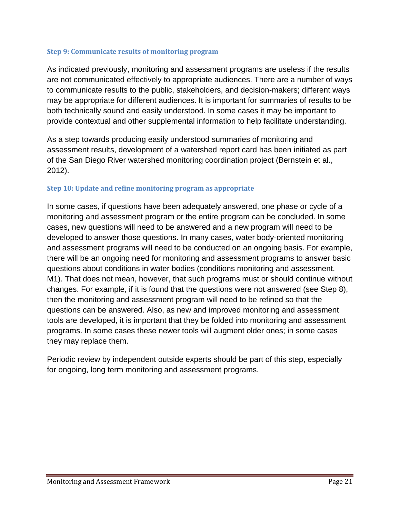#### <span id="page-20-0"></span>**Step 9: Communicate results of monitoring program**

As indicated previously, monitoring and assessment programs are useless if the results are not communicated effectively to appropriate audiences. There are a number of ways to communicate results to the public, stakeholders, and decision-makers; different ways may be appropriate for different audiences. It is important for summaries of results to be both technically sound and easily understood. In some cases it may be important to provide contextual and other supplemental information to help facilitate understanding.

As a step towards producing easily understood summaries of monitoring and assessment results, development of a watershed report card has been initiated as part of the San Diego River watershed monitoring coordination project (Bernstein et al., 2012).

#### <span id="page-20-1"></span>**Step 10: Update and refine monitoring program as appropriate**

In some cases, if questions have been adequately answered, one phase or cycle of a monitoring and assessment program or the entire program can be concluded. In some cases, new questions will need to be answered and a new program will need to be developed to answer those questions. In many cases, water body-oriented monitoring and assessment programs will need to be conducted on an ongoing basis. For example, there will be an ongoing need for monitoring and assessment programs to answer basic questions about conditions in water bodies (conditions monitoring and assessment, M1). That does not mean, however, that such programs must or should continue without changes. For example, if it is found that the questions were not answered (see Step 8), then the monitoring and assessment program will need to be refined so that the questions can be answered. Also, as new and improved monitoring and assessment tools are developed, it is important that they be folded into monitoring and assessment programs. In some cases these newer tools will augment older ones; in some cases they may replace them.

<span id="page-20-2"></span>Periodic review by independent outside experts should be part of this step, especially for ongoing, long term monitoring and assessment programs.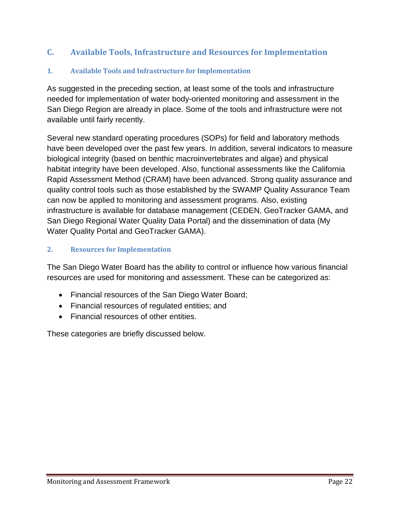# **C. Available Tools, Infrastructure and Resources for Implementation**

### <span id="page-21-0"></span>**1. Available Tools and Infrastructure for Implementation**

As suggested in the preceding section, at least some of the tools and infrastructure needed for implementation of water body-oriented monitoring and assessment in the San Diego Region are already in place. Some of the tools and infrastructure were not available until fairly recently.

Several new standard operating procedures (SOPs) for field and laboratory methods have been developed over the past few years. In addition, several indicators to measure biological integrity (based on benthic macroinvertebrates and algae) and physical habitat integrity have been developed. Also, functional assessments like the California Rapid Assessment Method (CRAM) have been advanced. Strong quality assurance and quality control tools such as those established by the SWAMP Quality Assurance Team can now be applied to monitoring and assessment programs. Also, existing infrastructure is available for database management (CEDEN, GeoTracker GAMA, and San Diego Regional Water Quality Data Portal) and the dissemination of data (My Water Quality Portal and GeoTracker GAMA).

### <span id="page-21-1"></span>**2. Resources for Implementation**

The San Diego Water Board has the ability to control or influence how various financial resources are used for monitoring and assessment. These can be categorized as:

- Financial resources of the San Diego Water Board;
- Financial resources of regulated entities; and
- Financial resources of other entities.

These categories are briefly discussed below.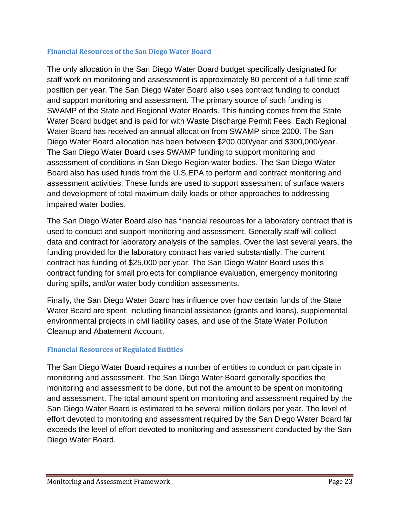#### <span id="page-22-0"></span>**Financial Resources of the San Diego Water Board**

The only allocation in the San Diego Water Board budget specifically designated for staff work on monitoring and assessment is approximately 80 percent of a full time staff position per year. The San Diego Water Board also uses contract funding to conduct and support monitoring and assessment. The primary source of such funding is SWAMP of the State and Regional Water Boards. This funding comes from the State Water Board budget and is paid for with Waste Discharge Permit Fees. Each Regional Water Board has received an annual allocation from SWAMP since 2000. The San Diego Water Board allocation has been between \$200,000/year and \$300,000/year. The San Diego Water Board uses SWAMP funding to support monitoring and assessment of conditions in San Diego Region water bodies. The San Diego Water Board also has used funds from the U.S.EPA to perform and contract monitoring and assessment activities. These funds are used to support assessment of surface waters and development of total maximum daily loads or other approaches to addressing impaired water bodies.

The San Diego Water Board also has financial resources for a laboratory contract that is used to conduct and support monitoring and assessment. Generally staff will collect data and contract for laboratory analysis of the samples. Over the last several years, the funding provided for the laboratory contract has varied substantially. The current contract has funding of \$25,000 per year. The San Diego Water Board uses this contract funding for small projects for compliance evaluation, emergency monitoring during spills, and/or water body condition assessments.

Finally, the San Diego Water Board has influence over how certain funds of the State Water Board are spent, including financial assistance (grants and loans), supplemental environmental projects in civil liability cases, and use of the State Water Pollution Cleanup and Abatement Account.

### <span id="page-22-1"></span>**Financial Resources of Regulated Entities**

The San Diego Water Board requires a number of entities to conduct or participate in monitoring and assessment. The San Diego Water Board generally specifies the monitoring and assessment to be done, but not the amount to be spent on monitoring and assessment. The total amount spent on monitoring and assessment required by the San Diego Water Board is estimated to be several million dollars per year. The level of effort devoted to monitoring and assessment required by the San Diego Water Board far exceeds the level of effort devoted to monitoring and assessment conducted by the San Diego Water Board.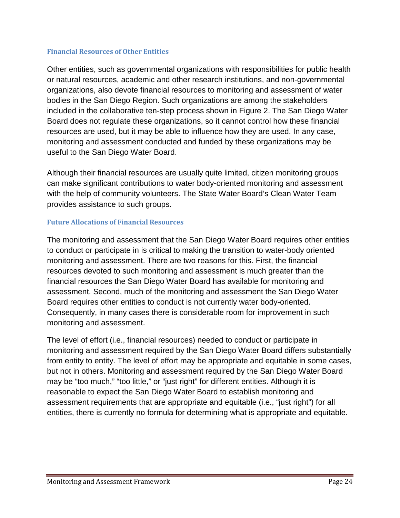#### <span id="page-23-0"></span>**Financial Resources of Other Entities**

Other entities, such as governmental organizations with responsibilities for public health or natural resources, academic and other research institutions, and non-governmental organizations, also devote financial resources to monitoring and assessment of water bodies in the San Diego Region. Such organizations are among the stakeholders included in the collaborative ten-step process shown in Figure 2. The San Diego Water Board does not regulate these organizations, so it cannot control how these financial resources are used, but it may be able to influence how they are used. In any case, monitoring and assessment conducted and funded by these organizations may be useful to the San Diego Water Board.

Although their financial resources are usually quite limited, citizen monitoring groups can make significant contributions to water body-oriented monitoring and assessment with the help of community volunteers. The State Water Board's Clean Water Team provides assistance to such groups.

#### <span id="page-23-1"></span>**Future Allocations of Financial Resources**

The monitoring and assessment that the San Diego Water Board requires other entities to conduct or participate in is critical to making the transition to water-body oriented monitoring and assessment. There are two reasons for this. First, the financial resources devoted to such monitoring and assessment is much greater than the financial resources the San Diego Water Board has available for monitoring and assessment. Second, much of the monitoring and assessment the San Diego Water Board requires other entities to conduct is not currently water body-oriented. Consequently, in many cases there is considerable room for improvement in such monitoring and assessment.

The level of effort (i.e., financial resources) needed to conduct or participate in monitoring and assessment required by the San Diego Water Board differs substantially from entity to entity. The level of effort may be appropriate and equitable in some cases, but not in others. Monitoring and assessment required by the San Diego Water Board may be "too much," "too little," or "just right" for different entities. Although it is reasonable to expect the San Diego Water Board to establish monitoring and assessment requirements that are appropriate and equitable (i.e., "just right") for all entities, there is currently no formula for determining what is appropriate and equitable.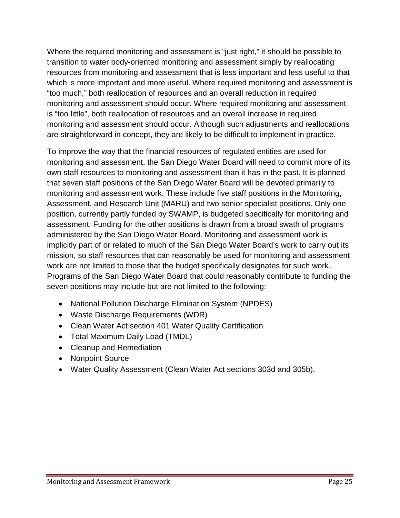Where the required monitoring and assessment is "just right," it should be possible to transition to water body-oriented monitoring and assessment simply by reallocating resources from monitoring and assessment that is less important and less useful to that which is more important and more useful. Where required monitoring and assessment is "too much," both reallocation of resources and an overall reduction in required monitoring and assessment should occur. Where required monitoring and assessment is "too little", both reallocation of resources and an overall increase in required monitoring and assessment should occur. Although such adjustments and reallocations are straightforward in concept, they are likely to be difficult to implement in practice.

To improve the way that the financial resources of regulated entities are used for monitoring and assessment, the San Diego Water Board will need to commit more of its own staff resources to monitoring and assessment than it has in the past. It is planned that seven staff positions of the San Diego Water Board will be devoted primarily to monitoring and assessment work. These include five staff positions in the Monitoring, Assessment, and Research Unit (MARU) and two senior specialist positions. Only one position, currently partly funded by SWAMP, is budgeted specifically for monitoring and assessment. Funding for the other positions is drawn from a broad swath of programs administered by the San Diego Water Board. Monitoring and assessment work is implicitly part of or related to much of the San Diego Water Board's work to carry out its mission, so staff resources that can reasonably be used for monitoring and assessment work are not limited to those that the budget specifically designates for such work. Programs of the San Diego Water Board that could reasonably contribute to funding the seven positions may include but are not limited to the following:

- National Pollution Discharge Elimination System (NPDES)
- Waste Discharge Requirements (WDR)
- Clean Water Act section 401 Water Quality Certification
- Total Maximum Daily Load (TMDL)
- Cleanup and Remediation
- Nonpoint Source
- Water Quality Assessment (Clean Water Act sections 303d and 305b).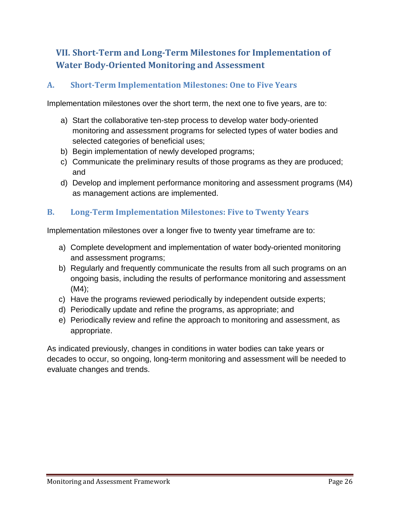# <span id="page-25-0"></span>**VII. Short-Term and Long-Term Milestones for Implementation of Water Body-Oriented Monitoring and Assessment**

# <span id="page-25-1"></span>**A. Short-Term Implementation Milestones: One to Five Years**

Implementation milestones over the short term, the next one to five years, are to:

- a) Start the collaborative ten-step process to develop water body-oriented monitoring and assessment programs for selected types of water bodies and selected categories of beneficial uses;
- b) Begin implementation of newly developed programs;
- c) Communicate the preliminary results of those programs as they are produced; and
- d) Develop and implement performance monitoring and assessment programs (M4) as management actions are implemented.

## <span id="page-25-2"></span>**B. Long-Term Implementation Milestones: Five to Twenty Years**

Implementation milestones over a longer five to twenty year timeframe are to:

- a) Complete development and implementation of water body-oriented monitoring and assessment programs;
- b) Regularly and frequently communicate the results from all such programs on an ongoing basis, including the results of performance monitoring and assessment (M4);
- c) Have the programs reviewed periodically by independent outside experts;
- d) Periodically update and refine the programs, as appropriate; and
- e) Periodically review and refine the approach to monitoring and assessment, as appropriate.

As indicated previously, changes in conditions in water bodies can take years or decades to occur, so ongoing, long-term monitoring and assessment will be needed to evaluate changes and trends.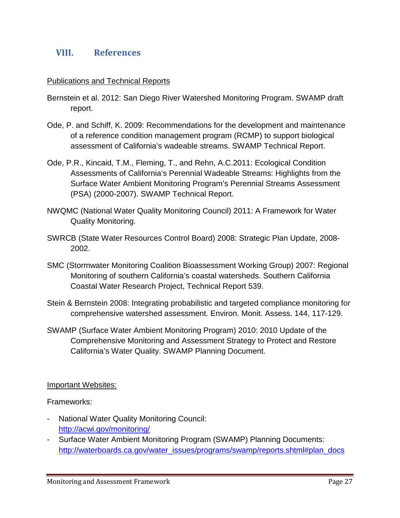## <span id="page-26-0"></span>**VIII. References**

#### Publications and Technical Reports

- Bernstein et al. 2012: San Diego River Watershed Monitoring Program. SWAMP draft report.
- Ode, P. and Schiff, K. 2009: Recommendations for the development and maintenance of a reference condition management program (RCMP) to support biological assessment of California's wadeable streams. SWAMP Technical Report.
- Ode, P.R., Kincaid, T.M., Fleming, T., and Rehn, A.C.2011: Ecological Condition Assessments of California's Perennial Wadeable Streams: Highlights from the Surface Water Ambient Monitoring Program's Perennial Streams Assessment (PSA) (2000-2007). SWAMP Technical Report.
- NWQMC (National Water Quality Monitoring Council) 2011: A Framework for Water Quality Monitoring.
- SWRCB (State Water Resources Control Board) 2008: Strategic Plan Update, 2008- 2002.
- SMC (Stormwater Monitoring Coalition Bioassessment Working Group) 2007: Regional Monitoring of southern California's coastal watersheds. Southern California Coastal Water Research Project, Technical Report 539.
- Stein & Bernstein 2008: Integrating probabilistic and targeted compliance monitoring for comprehensive watershed assessment. Environ. Monit. Assess. 144, 117-129.
- SWAMP (Surface Water Ambient Monitoring Program) 2010: 2010 Update of the Comprehensive Monitoring and Assessment Strategy to Protect and Restore California's Water Quality. SWAMP Planning Document.

#### Important Websites:

Frameworks:

- National Water Quality Monitoring Council: <http://acwi.gov/monitoring/>
- Surface Water Ambient Monitoring Program (SWAMP) Planning Documents: [http://waterboards.ca.gov/water\\_issues/programs/swamp/reports.shtml#plan\\_docs](http://waterboards.ca.gov/water_issues/programs/swamp/reports.shtml#plan_docs)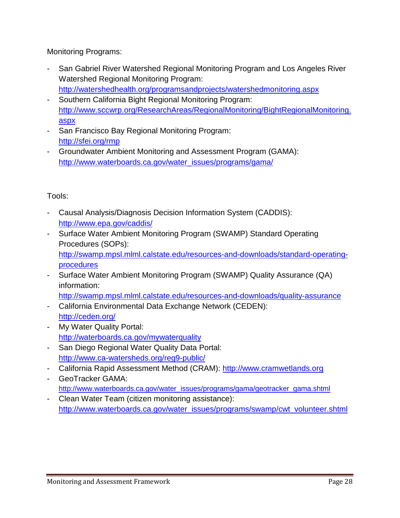Monitoring Programs:

- San Gabriel River Watershed Regional Monitoring Program and Los Angeles River Watershed Regional Monitoring Program: <http://watershedhealth.org/programsandprojects/watershedmonitoring.aspx>
- Southern California Bight Regional Monitoring Program: [http://www.sccwrp.org/ResearchAreas/RegionalMonitoring/BightRegionalMonitoring.](http://www.sccwrp.org/ResearchAreas/RegionalMonitoring/BightRegionalMonitoring.aspx) [aspx](http://www.sccwrp.org/ResearchAreas/RegionalMonitoring/BightRegionalMonitoring.aspx)
- San Francisco Bay Regional Monitoring Program: <http://sfei.org/rmp>
- Groundwater Ambient Monitoring and Assessment Program (GAMA): [http://www.waterboards.ca.gov/water\\_issues/programs/gama/](http://www.waterboards.ca.gov/water_issues/programs/gama/)

Tools:

- Causal Analysis/Diagnosis Decision Information System (CADDIS): <http://www.epa.gov/caddis/>
- Surface Water Ambient Monitoring Program (SWAMP) Standard Operating Procedures (SOPs): [http://swamp.mpsl.mlml.calstate.edu/resources-and-downloads/standard-operating](http://swamp.mpsl.mlml.calstate.edu/resources-and-downloads/standard-operating-procedures)[procedures](http://swamp.mpsl.mlml.calstate.edu/resources-and-downloads/standard-operating-procedures)
- Surface Water Ambient Monitoring Program (SWAMP) Quality Assurance (QA) information:
	- <http://swamp.mpsl.mlml.calstate.edu/resources-and-downloads/quality-assurance>
- California Environmental Data Exchange Network (CEDEN): <http://ceden.org/>
- My Water Quality Portal: <http://waterboards.ca.gov/mywaterquality>
- San Diego Regional Water Quality Data Portal: <http://www.ca-watersheds.org/reg9-public/>
- California Rapid Assessment Method (CRAM): [http://www.cramwetlands.org](http://www.cramwetlands.org/)
- GeoTracker GAMA: [http://www.waterboards.ca.gov/water\\_issues/programs/gama/geotracker\\_gama.shtml](http://www.waterboards.ca.gov/water_issues/programs/gama/geotracker_gama.shtml)
- Clean Water Team (citizen monitoring assistance): [http://www.waterboards.ca.gov/water\\_issues/programs/swamp/cwt\\_volunteer.shtml](http://www.waterboards.ca.gov/water_issues/programs/swamp/cwt_volunteer.shtml)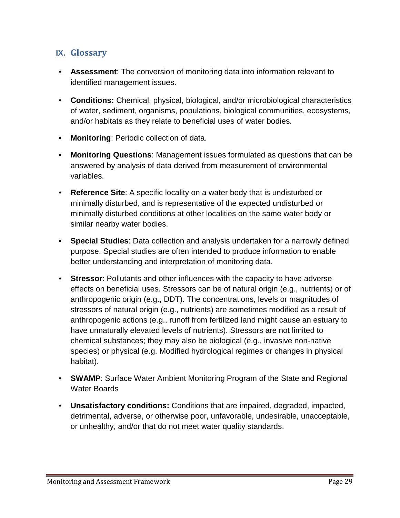# <span id="page-28-0"></span>**IX. Glossary**

- **Assessment**: The conversion of monitoring data into information relevant to identified management issues.
- **Conditions:** Chemical, physical, biological, and/or microbiological characteristics of water, sediment, organisms, populations, biological communities, ecosystems, and/or habitats as they relate to beneficial uses of water bodies.
- **Monitoring**: Periodic collection of data.
- **Monitoring Questions**: Management issues formulated as questions that can be answered by analysis of data derived from measurement of environmental variables.
- **Reference Site**: A specific locality on a water body that is undisturbed or minimally disturbed, and is representative of the expected undisturbed or minimally disturbed conditions at other localities on the same water body or similar nearby water bodies.
- **Special Studies**: Data collection and analysis undertaken for a narrowly defined purpose. Special studies are often intended to produce information to enable better understanding and interpretation of monitoring data.
- **Stressor**: Pollutants and other influences with the capacity to have adverse effects on beneficial uses. Stressors can be of natural origin (e.g., nutrients) or of anthropogenic origin (e.g., DDT). The concentrations, levels or magnitudes of stressors of natural origin (e.g., nutrients) are sometimes modified as a result of anthropogenic actions (e.g., runoff from fertilized land might cause an estuary to have unnaturally elevated levels of nutrients). Stressors are not limited to chemical substances; they may also be biological (e.g., invasive non-native species) or physical (e.g. Modified hydrological regimes or changes in physical habitat).
- **SWAMP**: Surface Water Ambient Monitoring Program of the State and Regional Water Boards
- **Unsatisfactory conditions:** Conditions that are impaired, degraded, impacted, detrimental, adverse, or otherwise poor, unfavorable, undesirable, unacceptable, or unhealthy, and/or that do not meet water quality standards.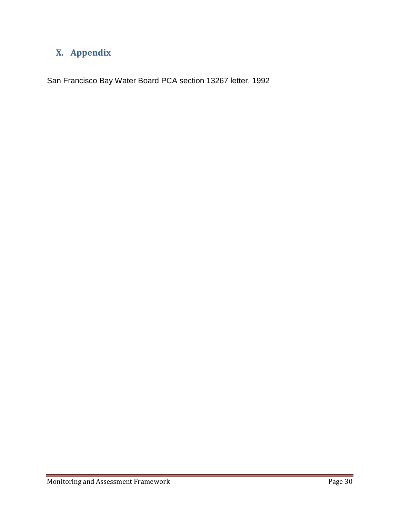# <span id="page-29-0"></span>**X. Appendix**

San Francisco Bay Water Board PCA section 13267 letter, 1992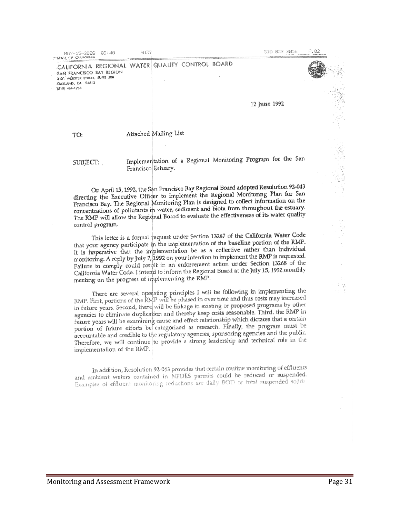CALIFORNIA REGIONAL WATER QUALITY CONTROL BOARD SAN FRANCISCO BAY REGION 2101 WEBSTER STREET, SUITE 500 OAKLAND, CA 94612  $(310)$  464-1235

12 June 1992

TO:

#### Attached Mailing List

SUBJECT:

#### Implementation of a Regional Monitoring Program for the San Francisco Estuary.

On April 15, 1992, the San Francisco Bay Regional Board adopted Resolution 92-043 On April 15, 1992, the San Francisco Day Regional South and Monitoring Plan for San<br>directing the Executive Officer to implement the Regional Monitoring Plan for San directing the Executive Officer to implement the regional to collect information on the<br>Francisco Bay. The Regional Monitoring Plan is designed to collect information on the concentrations of pollutants in water, sediment and biota from throughout the estuary. The RMP will allow the Regional Board to evaluate the effectiveness of its water quality control program.

This letter is a formal request under Section 13267 of the California Water Code This fetter is a formal fequest under because for the baseline portion of the RMP. It is imperative that the implementation be as a collective rather than individual It is imperative that the implementation be as a solution of the RMP is requested.<br>monitoring. A reply by July 7, 1992 on your intention to implement the RMP is requested. Failure to comply could result in an enforcement action under Section 13268 of the California Water Code. I intend to inform the Regional Board at the July 15, 1992 monthly meeting on the progress of implementing the RMP.

There are several operating principles I will be following in implementing the RMP. First, portions of the RMP will be phased in over time and thus costs may increased KMP. First, portions of the Klyp will be linkage to existing or proposed programs by other<br>in future years. Second, there will be linkage to existing or proposed programs by other agencies to eliminate duplication and thereby keep costs reasonable. Third, the RMP in future years will be examining cause and effect relationship which dictates that a certain portion of future efforts be categorized as research. Finally, the program must be accountable and credible to the regulatory agencies, sponsoring agencies and the public. Therefore, we will continue to provide a strong leadership and technical role in the implementation of the RMP.

In addition, Resolution 92-043 provides that certain routine monitoring of effluents and ambient waters contained in NPDES permits could be reduced or suspended. Examples of effluent monitoring reductions are daily BOD or total suspended solids